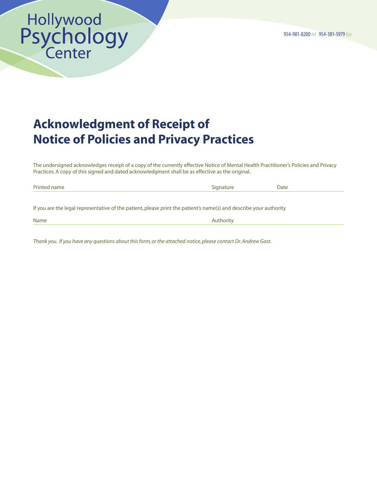# Hollywood<br>Psychology<br>Center

# Acknowledgment of Receipt of Notice of Policies and Privacy Practices

The undersigned acknowledges receipt of a copy of the currently effective Notice of Mental Health Practitioner's Policies and Privacy Practices. A copy of this signed and dated acknowledgment shall be as effective as the original.

| Printed name                                                                                                       | Signature | Date |
|--------------------------------------------------------------------------------------------------------------------|-----------|------|
|                                                                                                                    |           |      |
| If you are the legal representative of the patient, please print the patient's name(s) and describe your authority |           |      |
| Name                                                                                                               | Authority |      |

*Thank you. If you have any questions about this form, or the attached notice, please contact Dr. Andrew Gast.*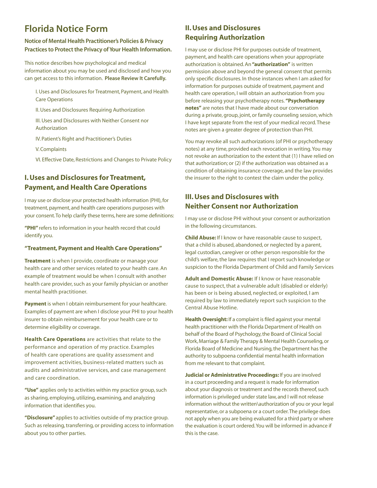# Florida Notice Form

#### Notice of Mental Health Practitioner's Policies & Privacy Practices to Protect the Privacy of Your Health Information.

This notice describes how psychological and medical information about you may be used and disclosed and how you can get access to this information. Please Review It Carefully.

I. Uses and Disclosures for Treatment, Payment, and Health Care Operations

II. Uses and Disclosures Requiring Authorization

III. Uses and Disclosures with Neither Consent nor Authorization

IV. Patient's Right and Practitioner's Duties

V. Complaints

VI. Effective Date, Restrictions and Changes to Private Policy

## I. Uses and Disclosures for Treatment, Payment, and Health Care Operations

I may use or disclose your protected health information (PHI), for treatment, payment, and health care operations purposes with your consent. To help clarify these terms, here are some definitions:

**"PHI"** refers to information in your health record that could identify you.

#### **"Treatment, Payment and Health Care Operations"**

**Treatment** is when I provide, coordinate or manage your health care and other services related to your health care. An example of treatment would be when I consult with another health care provider, such as your family physician or another mental health practitioner.

**Payment** is when I obtain reimbursement for your healthcare. Examples of payment are when I disclose your PHI to your health insurer to obtain reimbursement for your health care or to determine eligibility or coverage.

**Health Care Operations** are activities that relate to the performance and operation of my practice. Examples of health care operations are quality assessment and improvement activities, business-related matters such as audits and administrative services, and case management and care coordination.

**"Use"** applies only to activities within my practice group, such as sharing, employing, utilizing, examining, and analyzing information that identifies you.

**"Disclosure"** applies to activities outside of my practice group. Such as releasing, transferring, or providing access to information about you to other parties.

### II. Uses and Disclosures Requiring Authorization

I may use or disclose PHI for purposes outside of treatment, payment, and health care operations when your appropriate authorization is obtained. An **"authorization"** is written permission above and beyond the general consent that permits only specific disclosures. In those instances when I am asked for information for purposes outside of treatment, payment and health care operation, I will obtain an authorization from you before releasing your psychotherapy notes. **"Psychotherapy notes"** are notes that I have made about our conversation during a private, group, joint, or family counseling session, which I have kept separate from the rest of your medical record. These notes are given a greater degree of protection than PHI.

You may revoke all such authorizations (of PHI or psychotherapy notes) at any time, provided each revocation in writing. You may not revoke an authorization to the extent that (1) I have relied on that authorization; or (2) if the authorization was obtained as a condition of obtaining insurance coverage, and the law provides the insurer to the right to contest the claim under the policy.

### III. Uses and Disclosures with Neither Consent nor Authorization

I may use or disclose PHI without your consent or authorization in the following circumstances.

**Child Abuse:** If I know or have reasonable cause to suspect, that a child is abused, abandoned, or neglected by a parent, legal custodian, caregiver or other person responsible for the child's welfare, the law requires that I report such knowledge or suspicion to the Florida Department of Child and Family Services

**Adult and Domestic Abuse:** If I know or have reasonable cause to suspect, that a vulnerable adult (disabled or elderly) has been or is being abused, neglected, or exploited, I am required by law to immediately report such suspicion to the Central Abuse Hotline.

**Health Oversight:** If a complaint is filed against your mental health practitioner with the Florida Department of Health on behalf of the Board of Psychology, the Board of Clinical Social Work, Marriage & Family Therapy & Mental Health Counseling, or Florida Board of Medicine and Nursing, the Department has the authority to subpoena confidential mental health information from me relevant to that complaint.

**Judicial or Administrative Proceedings:** If you are involved in a court proceeding and a request is made for information about your diagnosis or treatment and the records thereof, such information is privileged under state law, and I will not release information without the written\authorization of you or your legal representative, or a subpoena or a court order. The privilege does not apply when you are being evaluated for a third party or where the evaluation is court ordered. You will be informed in advance if this is the case.